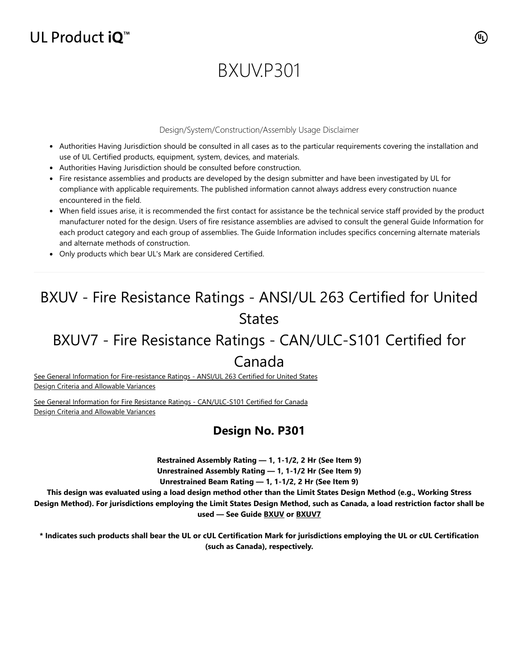## UL Product  $iQ^m$

# BXUV.P301

#### Design/System/Construction/Assembly Usage Disclaimer

- Authorities Having Jurisdiction should be consulted in all cases as to the particular requirements covering the installation and use of UL Certified products, equipment, system, devices, and materials.
- Authorities Having Jurisdiction should be consulted before construction.
- Fire resistance assemblies and products are developed by the design submitter and have been investigated by UL for compliance with applicable requirements. The published information cannot always address every construction nuance encountered in the field.
- When field issues arise, it is recommended the first contact for assistance be the technical service staff provided by the product manufacturer noted for the design. Users of fire resistance assemblies are advised to consult the general Guide Information for each product category and each group of assemblies. The Guide Information includes specifics concerning alternate materials and alternate methods of construction.
- Only products which bear UL's Mark are considered Certified.

## BXUV - Fire Resistance Ratings - ANSI/UL 263 Certified for United States

## BXUV7 - Fire Resistance Ratings - CAN/ULC-S101 Certified for

### Canada

[See General Information for Fire-resistance Ratings - ANSI/UL 263 Certified for United States](https://iq.ulprospector.com/en/cgi-bin/XYV/template/LISEXT/1FRAME/showpage.html?name=BXUV.GuideInfo&ccnshorttitle=Fire-resistance+Ratings+-+ANSI/UL+263&objid=1074327030&cfgid=1073741824&version=versionless&parent_id=1073984818&sequence=1) Design Criteria and Allowable Variances

[See General Information for Fire Resistance Ratings - CAN/ULC-S101 Certified for Canada](https://iq.ulprospector.com/en/cgi-bin/XYV/template/LISEXT/1FRAME/showpage.html?name=BXUV7.GuideInfo&ccnshorttitle=Fire+Resistance+Ratings+-+CAN/ULC-S101+Certified+for+Canada&objid=1074205658&cfgid=1073741824&version=versionless&parent_id=1073984820&sequence=1) Design Criteria and Allowable Variances

### **Design No. P301**

**Restrained Assembly Rating — 1, 1-1/2, 2 Hr (See Item 9) Unrestrained Assembly Rating — 1, 1-1/2 Hr (See Item 9) Unrestrained Beam Rating — 1, 1-1/2, 2 Hr (See Item 9)**

**This design was evaluated using a load design method other than the Limit States Design Method (e.g., Working Stress Design Method). For jurisdictions employing the Limit States Design Method, such as Canada, a load restriction factor shall be used — See Guide [BXUV](https://database.ul.com/cgi-bin/XYV/template/LISEXT/1FRAME/showpage.html?name=BXUV.GuideInfo&ccnshorttitle=Fire-resistance+Ratings+-+ANSI/UL+263&objid=1074327030&cfgid=1073741824&version=versionless&parent_id=1073984818&sequence=1) or [BXUV7](https://database.ul.com/cgi-bin/XYV/template/LISEXT/1FRAME/showpage.html?name=BXUV7.GuideInfo&ccnshorttitle=Fire+Resistance+Ratings+-+CAN/ULC-S101M+Certified+for+Canada&objid=1074205658&cfgid=1073741824&version=versionless&parent_id=1073984820&sequence=1)**

**\* Indicates such products shall bear the UL or cUL Certification Mark for jurisdictions employing the UL or cUL Certification (such as Canada), respectively.**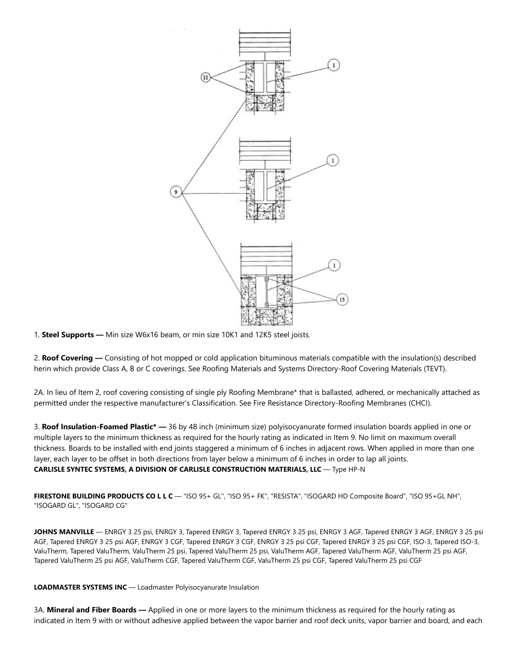

1. **Steel Supports —** Min size W6x16 beam, or min size 10K1 and 12K5 steel joists.

2. **Roof Covering —** Consisting of hot mopped or cold application bituminous materials compatible with the insulation(s) described herin which provide Class A, B or C coverings. See Roofing Materials and Systems Directory-Roof Covering Materials (TEVT).

2A. In lieu of Item 2, roof covering consisting of single ply Roofing Membrane\* that is ballasted, adhered, or mechanically attached as permitted under the respective manufacturer's Classification. See Fire Resistance Directory-Roofing Membranes (CHCI).

3. **Roof Insulation-Foamed Plastic\* —** 36 by 48 inch (minimum size) polyisocyanurate formed insulation boards applied in one or multiple layers to the minimum thickness as required for the hourly rating as indicated in Item 9. No limit on maximum overall thickness. Boards to be installed with end joints staggered a minimum of 6 inches in adjacent rows. When applied in more than one layer, each layer to be offset in both directions from layer below a minimum of 6 inches in order to lap all joints. **CARLISLE SYNTEC SYSTEMS, A DIVISION OF CARLISLE CONSTRUCTION MATERIALS, LLC** — Type HP-N

**FIRESTONE BUILDING PRODUCTS CO L L C** — "ISO 95+ GL", "ISO 95+ FK", "RESISTA", "ISOGARD HD Composite Board", "ISO 95+GL NH", "ISOGARD GL", "ISOGARD CG"

**JOHNS MANVILLE** — ENRGY 3 25 psi, ENRGY 3, Tapered ENRGY 3, Tapered ENRGY 3 25 psi, ENRGY 3 AGF, Tapered ENRGY 3 AGF, ENRGY 3 25 psi AGF, Tapered ENRGY 3 25 psi AGF, ENRGY 3 CGF, Tapered ENRGY 3 CGF, ENRGY 3 25 psi CGF, Tapered ENRGY 3 25 psi CGF, ISO-3, Tapered ISO-3, ValuTherm, Tapered ValuTherm, ValuTherm 25 psi, Tapered ValuTherm 25 psi, ValuTherm AGF, Tapered ValuTherm AGF, ValuTherm 25 psi AGF, Tapered ValuTherm 25 psi AGF, ValuTherm CGF, Tapered ValuTherm CGF, ValuTherm 25 psi CGF, Tapered ValuTherm 25 psi CGF

**LOADMASTER SYSTEMS INC** — Loadmaster Polyisocyanurate Insulation

3A. **Mineral and Fiber Boards —** Applied in one or more layers to the minimum thickness as required for the hourly rating as indicated in Item 9 with or without adhesive applied between the vapor barrier and roof deck units, vapor barrier and board, and each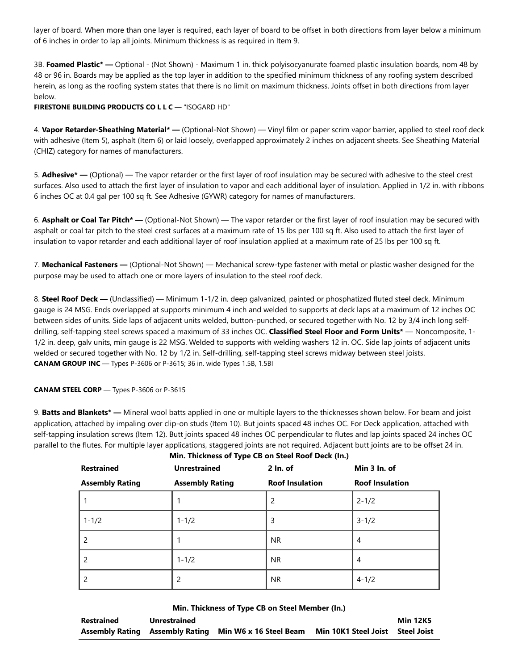layer of board. When more than one layer is required, each layer of board to be offset in both directions from layer below a minimum of 6 inches in order to lap all joints. Minimum thickness is as required in Item 9.

3B. **Foamed Plastic\* —** Optional - (Not Shown) - Maximum 1 in. thick polyisocyanurate foamed plastic insulation boards, nom 48 by 48 or 96 in. Boards may be applied as the top layer in addition to the specified minimum thickness of any roofing system described herein, as long as the roofing system states that there is no limit on maximum thickness. Joints offset in both directions from layer below.

**FIRESTONE BUILDING PRODUCTS CO L L C** — "ISOGARD HD"

4. **Vapor Retarder-Sheathing Material\* —** (Optional-Not Shown) — Vinyl film or paper scrim vapor barrier, applied to steel roof deck with adhesive (Item 5), asphalt (Item 6) or laid loosely, overlapped approximately 2 inches on adjacent sheets. See Sheathing Material (CHIZ) category for names of manufacturers.

5. **Adhesive\* —** (Optional) — The vapor retarder or the first layer of roof insulation may be secured with adhesive to the steel crest surfaces. Also used to attach the first layer of insulation to vapor and each additional layer of insulation. Applied in 1/2 in. with ribbons 6 inches OC at 0.4 gal per 100 sq ft. See Adhesive (GYWR) category for names of manufacturers.

6. **Asphalt or Coal Tar Pitch\* —** (Optional-Not Shown) — The vapor retarder or the first layer of roof insulation may be secured with asphalt or coal tar pitch to the steel crest surfaces at a maximum rate of 15 lbs per 100 sq ft. Also used to attach the first layer of insulation to vapor retarder and each additional layer of roof insulation applied at a maximum rate of 25 lbs per 100 sq ft.

7. **Mechanical Fasteners —** (Optional-Not Shown) — Mechanical screw-type fastener with metal or plastic washer designed for the purpose may be used to attach one or more layers of insulation to the steel roof deck.

8. **Steel Roof Deck —** (Unclassified) — Minimum 1-1/2 in. deep galvanized, painted or phosphatized fluted steel deck. Minimum gauge is 24 MSG. Ends overlapped at supports minimum 4 inch and welded to supports at deck laps at a maximum of 12 inches OC between sides of units. Side laps of adjacent units welded, button-punched, or secured together with No. 12 by 3/4 inch long selfdrilling, self-tapping steel screws spaced a maximum of 33 inches OC. **Classified Steel Floor and Form Units\*** — Noncomposite, 1- 1/2 in. deep, galv units, min gauge is 22 MSG. Welded to supports with welding washers 12 in. OC. Side lap joints of adjacent units welded or secured together with No. 12 by 1/2 in. Self-drilling, self-tapping steel screws midway between steel joists. **CANAM GROUP INC** — Types P-3606 or P-3615; 36 in. wide Types 1.5B, 1.5BI

**CANAM STEEL CORP** — Types P-3606 or P-3615

9. **Batts and Blankets\* —** Mineral wool batts applied in one or multiple layers to the thicknesses shown below. For beam and joist application, attached by impaling over clip-on studs (Item 10). But joints spaced 48 inches OC. For Deck application, attached with self-tapping insulation screws (Item 12). Butt joints spaced 48 inches OC perpendicular to flutes and lap joints spaced 24 inches OC parallel to the flutes. For multiple layer applications, staggered joints are not required. Adjacent butt joints are to be offset 24 in.

**Min. Thickness of Type CB on Steel Roof Deck (In.)**

| <b>Restrained</b>        | <b>Unrestrained</b>    | $2 \ln 0$              | Min 3 In. of           |
|--------------------------|------------------------|------------------------|------------------------|
| <b>Assembly Rating</b>   | <b>Assembly Rating</b> | <b>Roof Insulation</b> | <b>Roof Insulation</b> |
|                          |                        | $\overline{c}$         | $2 - 1/2$              |
| $1 - 1/2$                | $1 - 1/2$              | 3                      | $3 - 1/2$              |
| 2                        |                        | <b>NR</b>              | $\overline{4}$         |
| 2                        | $1 - 1/2$              | <b>NR</b>              | 4                      |
| $\overline{\phantom{0}}$ | 2                      | <b>NR</b>              | $4 - 1/2$              |

**Min. Thickness of Type CB on Steel Member (In.)**

| Restrained | Unrestrained |                                                        |                                  | <b>Min 12K5</b> |
|------------|--------------|--------------------------------------------------------|----------------------------------|-----------------|
|            |              | Assembly Rating Assembly Rating Min W6 x 16 Steel Beam | Min 10K1 Steel Joist Steel Joist |                 |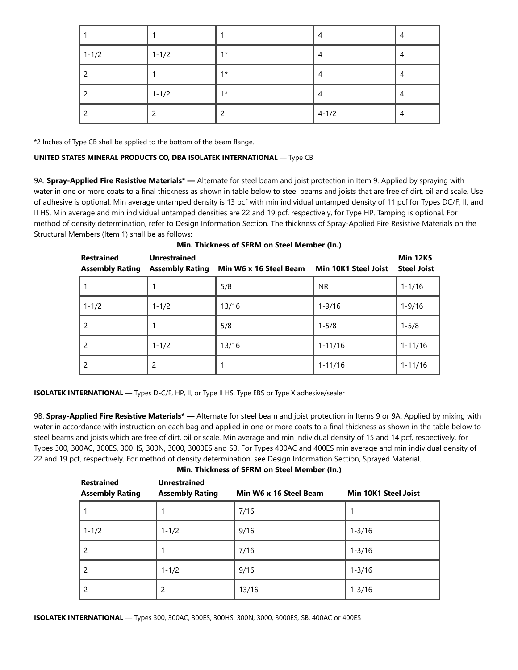|           |           |      | 4         | 4 |
|-----------|-----------|------|-----------|---|
| $1 - 1/2$ | $1 - 1/2$ | $1*$ | 4         | 4 |
|           |           | $1*$ | 4         | 4 |
|           | $1 - 1/2$ | $1*$ | 4         | 4 |
|           |           |      | $ 4-1/2 $ | 4 |

\*2 Inches of Type CB shall be applied to the bottom of the beam flange.

#### **UNITED STATES MINERAL PRODUCTS CO, DBA ISOLATEK INTERNATIONAL** — Type CB

9A. **Spray-Applied Fire Resistive Materials\* —** Alternate for steel beam and joist protection in Item 9. Applied by spraying with water in one or more coats to a final thickness as shown in table below to steel beams and joists that are free of dirt, oil and scale. Use of adhesive is optional. Min average untamped density is 13 pcf with min individual untamped density of 11 pcf for Types DC/F, II, and II HS. Min average and min individual untamped densities are 22 and 19 pcf, respectively, for Type HP. Tamping is optional. For method of density determination, refer to Design Information Section. The thickness of Spray-Applied Fire Resistive Materials on the Structural Members (Item 1) shall be as follows:

| <b>Restrained</b><br><b>Assembly Rating</b> | <b>Unrestrained</b><br><b>Assembly Rating</b> | Min W6 x 16 Steel Beam | <b>Min 10K1 Steel Joist</b> | <b>Min 12K5</b><br><b>Steel Joist</b> |
|---------------------------------------------|-----------------------------------------------|------------------------|-----------------------------|---------------------------------------|
|                                             |                                               | 5/8                    | <b>NR</b>                   | $1 - 1/16$                            |
| $1 - 1/2$                                   | $1 - 1/2$                                     | 13/16                  | $1 - 9/16$                  | $1 - 9/16$                            |
| $\overline{\phantom{0}}$                    |                                               | 5/8                    | $1 - 5/8$                   | $1 - 5/8$                             |
| $\overline{\phantom{0}}$                    | $1 - 1/2$                                     | 13/16                  | $1 - 11/16$                 | $1 - 11/16$                           |
|                                             | 2                                             |                        | $1 - 11/16$                 | $1 - 11/16$                           |

|  | Min. Thickness of SFRM on Steel Member (In.) |  |  |  |  |
|--|----------------------------------------------|--|--|--|--|
|--|----------------------------------------------|--|--|--|--|

**ISOLATEK INTERNATIONAL** — Types D-C/F, HP, II, or Type II HS, Type EBS or Type X adhesive/sealer

9B. **Spray-Applied Fire Resistive Materials\* —** Alternate for steel beam and joist protection in Items 9 or 9A. Applied by mixing with water in accordance with instruction on each bag and applied in one or more coats to a final thickness as shown in the table below to steel beams and joists which are free of dirt, oil or scale. Min average and min individual density of 15 and 14 pcf, respectively, for Types 300, 300AC, 300ES, 300HS, 300N, 3000, 3000ES and SB. For Types 400AC and 400ES min average and min individual density of 22 and 19 pcf, respectively. For method of density determination, see Design Information Section, Sprayed Material.

**Min. Thickness of SFRM on Steel Member (In.)**

| <b>Restrained</b><br><b>Assembly Rating</b> | <b>Unrestrained</b><br><b>Assembly Rating</b> | Min W6 x 16 Steel Beam | <b>Min 10K1 Steel Joist</b> |
|---------------------------------------------|-----------------------------------------------|------------------------|-----------------------------|
|                                             |                                               | 7/16                   |                             |
| $1 - 1/2$                                   | $1 - 1/2$                                     | 9/16                   | $1 - 3/16$                  |
| 2                                           |                                               | 7/16                   | $1 - 3/16$                  |
| 2                                           | $1 - 1/2$                                     | 9/16                   | $1 - 3/16$                  |
| 2                                           | 2                                             | 13/16                  | $1 - 3/16$                  |